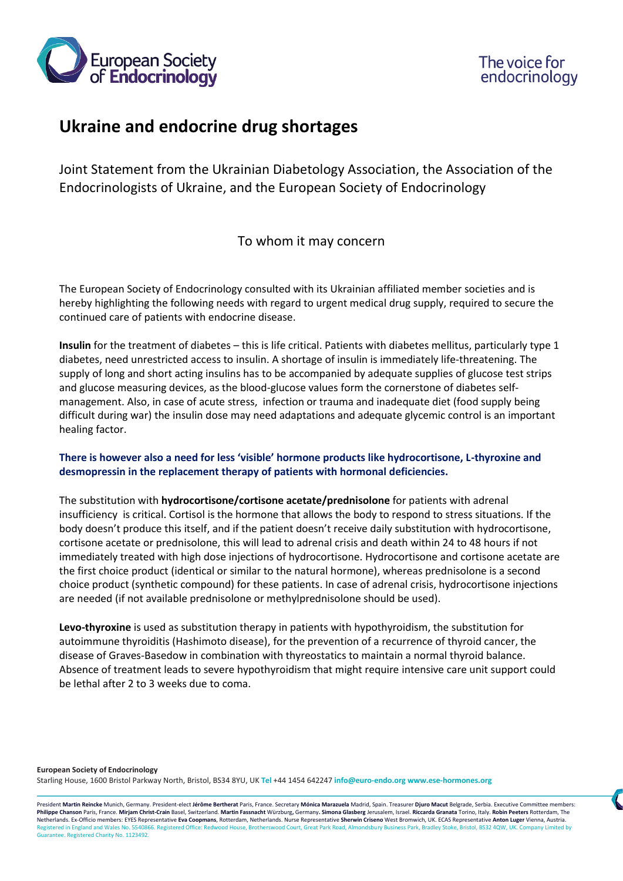



## **Ukraine and endocrine drug shortages**

Joint Statement from the Ukrainian Diabetology Association, the Association of the Endocrinologists of Ukraine, and the European Society of Endocrinology

## To whom it may concern

The European Society of Endocrinology consulted with its Ukrainian affiliated member societies and is hereby highlighting the following needs with regard to urgent medical drug supply, required to secure the continued care of patients with endocrine disease.

**Insulin** for the treatment of diabetes – this is life critical. Patients with diabetes mellitus, particularly type 1 diabetes, need unrestricted access to insulin. A shortage of insulin is immediately life-threatening. The supply of long and short acting insulins has to be accompanied by adequate supplies of glucose test strips and glucose measuring devices, as the blood-glucose values form the cornerstone of diabetes selfmanagement. Also, in case of acute stress, infection or trauma and inadequate diet (food supply being difficult during war) the insulin dose may need adaptations and adequate glycemic control is an important healing factor.

## **There is however also a need for less 'visible' hormone products like hydrocortisone, L-thyroxine and desmopressin in the replacement therapy of patients with hormonal deficiencies.**

The substitution with **hydrocortisone/cortisone acetate/prednisolone** for patients with adrenal insufficiency is critical. Cortisol is the hormone that allows the body to respond to stress situations. If the body doesn't produce this itself, and if the patient doesn't receive daily substitution with hydrocortisone, cortisone acetate or prednisolone, this will lead to adrenal crisis and death within 24 to 48 hours if not immediately treated with high dose injections of hydrocortisone. Hydrocortisone and cortisone acetate are the first choice product (identical or similar to the natural hormone), whereas prednisolone is a second choice product (synthetic compound) for these patients. In case of adrenal crisis, hydrocortisone injections are needed (if not available prednisolone or methylprednisolone should be used).

**Levo-thyroxine** is used as substitution therapy in patients with hypothyroidism, the substitution for autoimmune thyroiditis (Hashimoto disease), for the prevention of a recurrence of thyroid cancer, the disease of Graves-Basedow in combination with thyreostatics to maintain a normal thyroid balance. Absence of treatment leads to severe hypothyroidism that might require intensive care unit support could be lethal after 2 to 3 weeks due to coma.

**European Society of Endocrinology**  Starling House, 1600 Bristol Parkway North, Bristol, BS34 8YU, UK **Tel** +44 1454 642247 **info@euro-endo.org www.ese-hormones.org** 

President Martin Reincke Munich, Germany. President-elect Jérôme Bertherat Paris, France. Secretary Mónica Marazuela Madrid, Spain. Treasurer Djuro Macut Belgrade, Serbia. Executive Committee members: Philippe Chanson Paris, France. Mirjam Christ-Crain Basel, Switzerland. Martin Fassnacht Würzburg, Germany. Simona Glasberg Jerusalem, Israel. Riccarda Granata Torino, Italy. Robin Peeters Rotterdam, The Netherlands. Ex-Officio members: EYES Representative **Eva Coopmans**, Rotterdam, Netherlands. Nurse Representative **Sherwin Criseno** West Bromwich, UK. ECAS Representative **Anton Luger** Vienna, Austria. ess Park, Bradley Stoke, Bristol, BS32 4QW, UK. Company Limited Park, Bradley Stoke, Bristol, BS32 4QW, UK. Company Limited by Guarantee. Registered Charity No. 1123492.